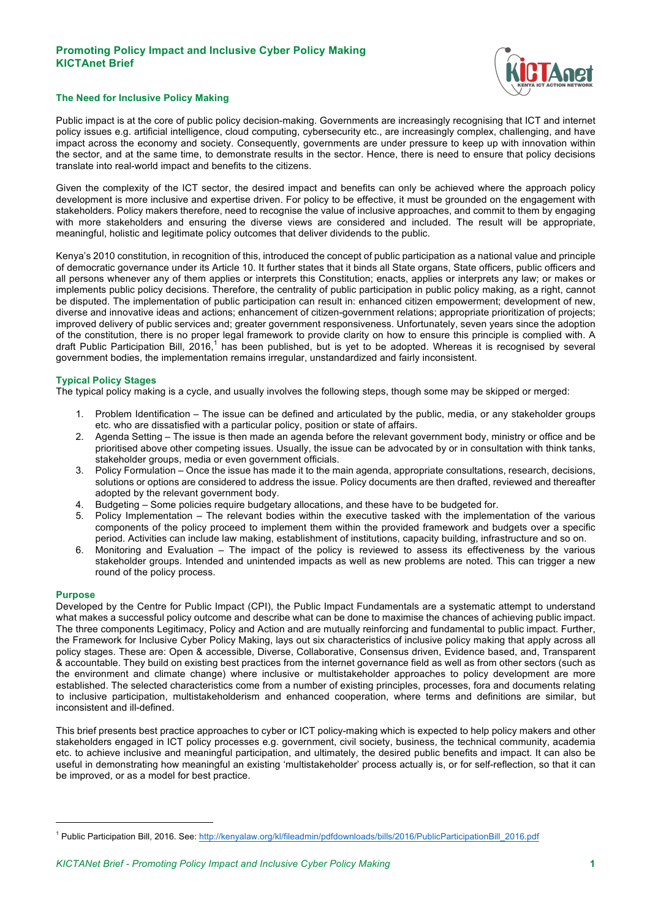# **Promoting Policy Impact and Inclusive Cyber Policy Making KICTAnet Brief**



## **The Need for Inclusive Policy Making**

Public impact is at the core of public policy decision-making. Governments are increasingly recognising that ICT and internet policy issues e.g. artificial intelligence, cloud computing, cybersecurity etc., are increasingly complex, challenging, and have impact across the economy and society. Consequently, governments are under pressure to keep up with innovation within the sector, and at the same time, to demonstrate results in the sector. Hence, there is need to ensure that policy decisions translate into real-world impact and benefits to the citizens.

Given the complexity of the ICT sector, the desired impact and benefits can only be achieved where the approach policy development is more inclusive and expertise driven. For policy to be effective, it must be grounded on the engagement with stakeholders. Policy makers therefore, need to recognise the value of inclusive approaches, and commit to them by engaging with more stakeholders and ensuring the diverse views are considered and included. The result will be appropriate, meaningful, holistic and legitimate policy outcomes that deliver dividends to the public.

Kenya's 2010 constitution, in recognition of this, introduced the concept of public participation as a national value and principle of democratic governance under its Article 10. It further states that it binds all State organs, State officers, public officers and all persons whenever any of them applies or interprets this Constitution; enacts, applies or interprets any law; or makes or implements public policy decisions. Therefore, the centrality of public participation in public policy making, as a right, cannot be disputed. The implementation of public participation can result in: enhanced citizen empowerment; development of new, diverse and innovative ideas and actions; enhancement of citizen-government relations; appropriate prioritization of projects; improved delivery of public services and; greater government responsiveness. Unfortunately, seven years since the adoption of the constitution, there is no proper legal framework to provide clarity on how to ensure this principle is complied with. A draft Public Participation Bill,  $2016$ ,<sup>1</sup> has been published, but is yet to be adopted. Whereas it is recognised by several government bodies, the implementation remains irregular, unstandardized and fairly inconsistent.

## **Typical Policy Stages**

The typical policy making is a cycle, and usually involves the following steps, though some may be skipped or merged:

- 1. Problem Identification The issue can be defined and articulated by the public, media, or any stakeholder groups etc. who are dissatisfied with a particular policy, position or state of affairs.
- 2. Agenda Setting The issue is then made an agenda before the relevant government body, ministry or office and be prioritised above other competing issues. Usually, the issue can be advocated by or in consultation with think tanks, stakeholder groups, media or even government officials.
- 3. Policy Formulation Once the issue has made it to the main agenda, appropriate consultations, research, decisions, solutions or options are considered to address the issue. Policy documents are then drafted, reviewed and thereafter adopted by the relevant government body.
- 4. Budgeting Some policies require budgetary allocations, and these have to be budgeted for.
- 5. Policy Implementation The relevant bodies within the executive tasked with the implementation of the various components of the policy proceed to implement them within the provided framework and budgets over a specific period. Activities can include law making, establishment of institutions, capacity building, infrastructure and so on.
- 6. Monitoring and Evaluation The impact of the policy is reviewed to assess its effectiveness by the various stakeholder groups. Intended and unintended impacts as well as new problems are noted. This can trigger a new round of the policy process.

#### **Purpose**

-

Developed by the Centre for Public Impact (CPI), the Public Impact Fundamentals are a systematic attempt to understand what makes a successful policy outcome and describe what can be done to maximise the chances of achieving public impact. The three components Legitimacy, Policy and Action and are mutually reinforcing and fundamental to public impact. Further, the Framework for Inclusive Cyber Policy Making, lays out six characteristics of inclusive policy making that apply across all policy stages. These are: Open & accessible, Diverse, Collaborative, Consensus driven, Evidence based, and, Transparent & accountable. They build on existing best practices from the internet governance field as well as from other sectors (such as the environment and climate change) where inclusive or multistakeholder approaches to policy development are more established. The selected characteristics come from a number of existing principles, processes, fora and documents relating to inclusive participation, multistakeholderism and enhanced cooperation, where terms and definitions are similar, but inconsistent and ill-defined.

This brief presents best practice approaches to cyber or ICT policy-making which is expected to help policy makers and other stakeholders engaged in ICT policy processes e.g. government, civil society, business, the technical community, academia etc. to achieve inclusive and meaningful participation, and ultimately, the desired public benefits and impact. It can also be useful in demonstrating how meaningful an existing 'multistakeholder' process actually is, or for self-reflection, so that it can be improved, or as a model for best practice.

<sup>&</sup>lt;sup>1</sup> Public Participation Bill, 2016. See: http://kenyalaw.org/kl/fileadmin/pdfdownloads/bills/2016/PublicParticipationBill\_2016.pdf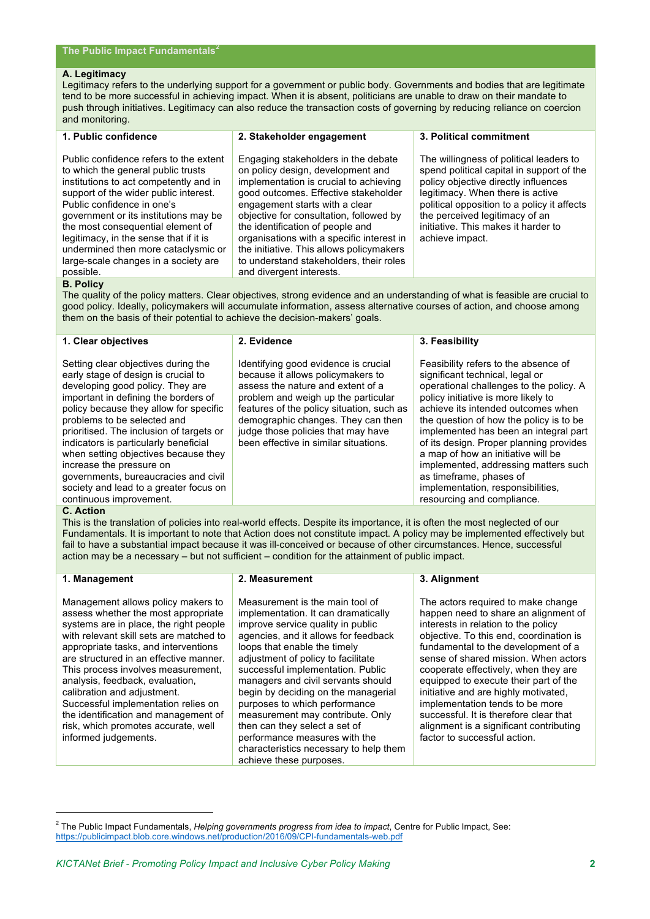#### **A. Legitimacy**

Legitimacy refers to the underlying support for a government or public body. Governments and bodies that are legitimate tend to be more successful in achieving impact. When it is absent, politicians are unable to draw on their mandate to push through initiatives. Legitimacy can also reduce the transaction costs of governing by reducing reliance on coercion and monitoring.

## **1. Public confidence**

**2. Stakeholder engagement** 

Public confidence refers to the extent to which the general public trusts institutions to act competently and in support of the wider public interest. Public confidence in one's government or its institutions may be the most consequential element of legitimacy, in the sense that if it is undermined then more cataclysmic or large-scale changes in a society are possible.

Engaging stakeholders in the debate on policy design, development and implementation is crucial to achieving good outcomes. Effective stakeholder engagement starts with a clear objective for consultation, followed by the identification of people and organisations with a specific interest in the initiative. This allows policymakers to understand stakeholders, their roles and divergent interests.

**3. Political commitment** 

The willingness of political leaders to spend political capital in support of the policy objective directly influences legitimacy. When there is active political opposition to a policy it affects the perceived legitimacy of an initiative. This makes it harder to achieve impact.

## **B. Policy**

The quality of the policy matters. Clear objectives, strong evidence and an understanding of what is feasible are crucial to good policy. Ideally, policymakers will accumulate information, assess alternative courses of action, and choose among them on the basis of their potential to achieve the decision-makers' goals.

| 1. Clear objectives                                                                                                                                                                                                                                                                                                                                                                                                                                                                                   | 2. Evidence                                                                                                                                                                                                                                                                                                             | 3. Feasibility                                                                                                                                                                                                                                                                                                                                                                                                                                                                                             |
|-------------------------------------------------------------------------------------------------------------------------------------------------------------------------------------------------------------------------------------------------------------------------------------------------------------------------------------------------------------------------------------------------------------------------------------------------------------------------------------------------------|-------------------------------------------------------------------------------------------------------------------------------------------------------------------------------------------------------------------------------------------------------------------------------------------------------------------------|------------------------------------------------------------------------------------------------------------------------------------------------------------------------------------------------------------------------------------------------------------------------------------------------------------------------------------------------------------------------------------------------------------------------------------------------------------------------------------------------------------|
| Setting clear objectives during the<br>early stage of design is crucial to<br>developing good policy. They are<br>important in defining the borders of<br>policy because they allow for specific<br>problems to be selected and<br>prioritised. The inclusion of targets or<br>indicators is particularly beneficial<br>when setting objectives because they<br>increase the pressure on<br>governments, bureaucracies and civil<br>society and lead to a greater focus on<br>continuous improvement. | Identifying good evidence is crucial<br>because it allows policymakers to<br>assess the nature and extent of a<br>problem and weigh up the particular<br>features of the policy situation, such as<br>demographic changes. They can then<br>judge those policies that may have<br>been effective in similar situations. | Feasibility refers to the absence of<br>significant technical, legal or<br>operational challenges to the policy. A<br>policy initiative is more likely to<br>achieve its intended outcomes when<br>the question of how the policy is to be<br>implemented has been an integral part<br>of its design. Proper planning provides<br>a map of how an initiative will be<br>implemented, addressing matters such<br>as timeframe, phases of<br>implementation, responsibilities,<br>resourcing and compliance. |

#### **C. Action**

This is the translation of policies into real-world effects. Despite its importance, it is often the most neglected of our Fundamentals. It is important to note that Action does not constitute impact. A policy may be implemented effectively but fail to have a substantial impact because it was ill-conceived or because of other circumstances. Hence, successful action may be a necessary – but not sufficient – condition for the attainment of public impact.

## **1. Management**

-

Management allows policy makers to assess whether the most appropriate systems are in place, the right people with relevant skill sets are matched to appropriate tasks, and interventions are structured in an effective manner. This process involves measurement, analysis, feedback, evaluation, calibration and adjustment. Successful implementation relies on the identification and management of risk, which promotes accurate, well informed judgements.

### **2. Measurement**

Measurement is the main tool of implementation. It can dramatically improve service quality in public agencies, and it allows for feedback loops that enable the timely adjustment of policy to facilitate successful implementation. Public managers and civil servants should begin by deciding on the managerial purposes to which performance measurement may contribute. Only then can they select a set of performance measures with the characteristics necessary to help them achieve these purposes.

# **3. Alignment**

The actors required to make change happen need to share an alignment of interests in relation to the policy objective. To this end, coordination is fundamental to the development of a sense of shared mission. When actors cooperate effectively, when they are equipped to execute their part of the initiative and are highly motivated, implementation tends to be more successful. It is therefore clear that alignment is a significant contributing factor to successful action.

<sup>2</sup> The Public Impact Fundamentals, *Helping governments progress from idea to impact*, Centre for Public Impact, See: https://publicimpact.blob.core.windows.net/production/2016/09/CPI-fundamentals-web.pdf